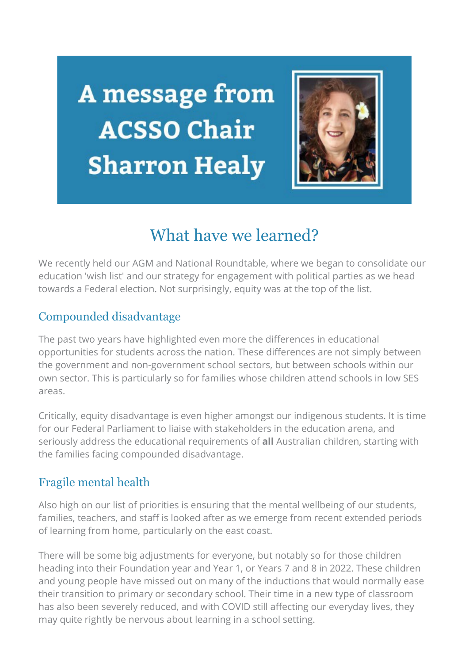A message from **ACSSO Chair Sharron Healy** 



## What have we learned?

We recently held our AGM and National Roundtable, where we began to consolidate our education 'wish list' and our strategy for engagement with political parties as we head towards a Federal election. Not surprisingly, equity was at the top of the list.

## Compounded disadvantage

The past two years have highlighted even more the differences in educational opportunities for students across the nation. These differences are not simply between the government and non-government school sectors, but between schools within our own sector. This is particularly so for families whose children attend schools in low SES areas.

Critically, equity disadvantage is even higher amongst our indigenous students. It is time for our Federal Parliament to liaise with stakeholders in the education arena, and seriously address the educational requirements of **all** Australian children, starting with the families facing compounded disadvantage.

## Fragile mental health

Also high on our list of priorities is ensuring that the mental wellbeing of our students, families, teachers, and staff is looked after as we emerge from recent extended periods of learning from home, particularly on the east coast.

There will be some big adjustments for everyone, but notably so for those children heading into their Foundation year and Year 1, or Years 7 and 8 in 2022. These children and young people have missed out on many of the inductions that would normally ease their transition to primary or secondary school. Their time in a new type of classroom has also been severely reduced, and with COVID still affecting our everyday lives, they may quite rightly be nervous about learning in a school setting.